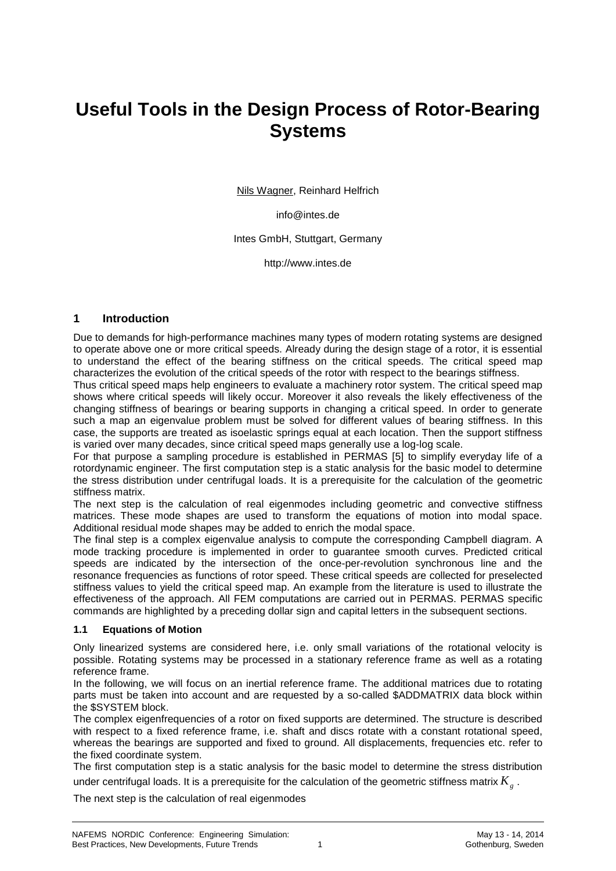# **Useful Tools in the Design Process of Rotor-Bearing Systems**

Nils Wagner, Reinhard Helfrich

info@intes.de

Intes GmbH, Stuttgart, Germany

http://www.intes.de

### **1 Introduction**

Due to demands for high-performance machines many types of modern rotating systems are designed to operate above one or more critical speeds. Already during the design stage of a rotor, it is essential to understand the effect of the bearing stiffness on the critical speeds. The critical speed map characterizes the evolution of the critical speeds of the rotor with respect to the bearings stiffness.

Thus critical speed maps help engineers to evaluate a machinery rotor system. The critical speed map shows where critical speeds will likely occur. Moreover it also reveals the likely effectiveness of the changing stiffness of bearings or bearing supports in changing a critical speed. In order to generate such a map an eigenvalue problem must be solved for different values of bearing stiffness. In this case, the supports are treated as isoelastic springs equal at each location. Then the support stiffness is varied over many decades, since critical speed maps generally use a log-log scale.

For that purpose a sampling procedure is established in PERMAS [5] to simplify everyday life of a rotordynamic engineer. The first computation step is a static analysis for the basic model to determine the stress distribution under centrifugal loads. It is a prerequisite for the calculation of the geometric stiffness matrix.

The next step is the calculation of real eigenmodes including geometric and convective stiffness matrices. These mode shapes are used to transform the equations of motion into modal space. Additional residual mode shapes may be added to enrich the modal space.

The final step is a complex eigenvalue analysis to compute the corresponding Campbell diagram. A mode tracking procedure is implemented in order to guarantee smooth curves. Predicted critical speeds are indicated by the intersection of the once-per-revolution synchronous line and the resonance frequencies as functions of rotor speed. These critical speeds are collected for preselected stiffness values to yield the critical speed map. An example from the literature is used to illustrate the effectiveness of the approach. All FEM computations are carried out in PERMAS. PERMAS specific commands are highlighted by a preceding dollar sign and capital letters in the subsequent sections.

#### **1.1 Equations of Motion**

Only linearized systems are considered here, i.e. only small variations of the rotational velocity is possible. Rotating systems may be processed in a stationary reference frame as well as a rotating reference frame.

In the following, we will focus on an inertial reference frame. The additional matrices due to rotating parts must be taken into account and are requested by a so-called \$ADDMATRIX data block within the \$SYSTEM block.

The complex eigenfrequencies of a rotor on fixed supports are determined. The structure is described with respect to a fixed reference frame, i.e. shaft and discs rotate with a constant rotational speed, whereas the bearings are supported and fixed to ground. All displacements, frequencies etc. refer to the fixed coordinate system.

The first computation step is a static analysis for the basic model to determine the stress distribution under centrifugal loads. It is a prerequisite for the calculation of the geometric stiffness matrix  $K_{_g}$  .

The next step is the calculation of real eigenmodes

1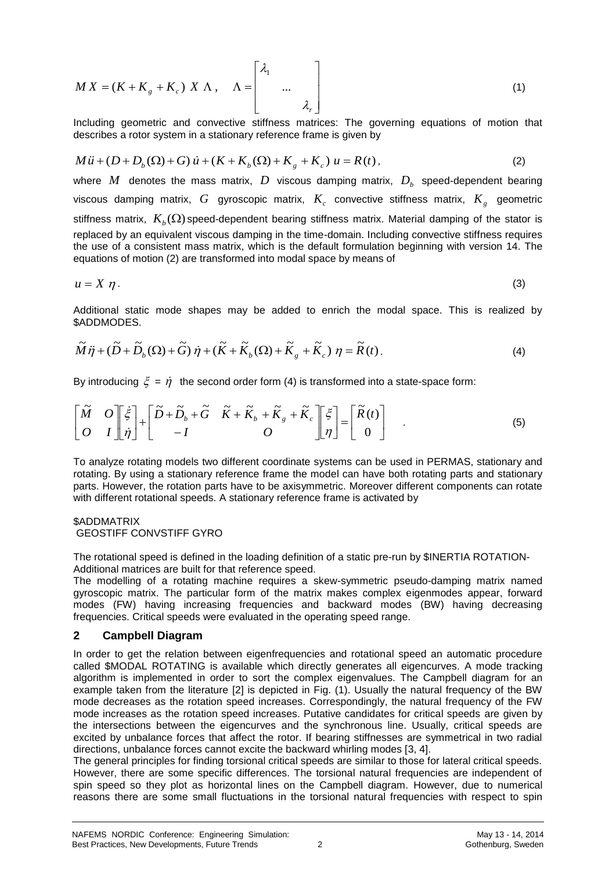$$
MX = (K + Kg + Kc) X \Lambda, \quad \Lambda = \begin{bmatrix} \lambda_1 & & \\ & \dots & \\ & & \lambda_r \end{bmatrix}
$$
 (1)

Including geometric and convective stiffness matrices: The governing equations of motion that describes a rotor system in a stationary reference frame is given by

$$
M\ddot{u} + (D + D_b(\Omega) + G)\dot{u} + (K + K_b(\Omega) + K_g + K_c)\dot{u} = R(t),
$$
\n(2)

where  $M$  denotes the mass matrix,  $D$  viscous damping matrix,  $D_{\scriptscriptstyle b}$  speed-dependent bearing viscous damping matrix,  $G$  gyroscopic matrix,  $K_c$  convective stiffness matrix,  $K_g$  geometric stiffness matrix,  $K_b(\Omega)$  speed-dependent bearing stiffness matrix. Material damping of the stator is replaced by an equivalent viscous damping in the time-domain. Including convective stiffness requires the use of a consistent mass matrix, which is the default formulation beginning with version 14. The equations of motion (2) are transformed into modal space by means of

$$
u = X \eta. \tag{3}
$$

Additional static mode shapes may be added to enrich the modal space. This is realized by \$ADDMODES.

$$
\widetilde{M}\ddot{\eta} + (\widetilde{D} + \widetilde{D}_b(\Omega) + \widetilde{G})\dot{\eta} + (\widetilde{K} + \widetilde{K}_b(\Omega) + \widetilde{K}_g + \widetilde{K}_c)\eta = \widetilde{R}(t).
$$
\n(4)

By introducing  $\xi = \dot{\eta}$  the second order form (4) is transformed into a state-space form:

$$
\begin{bmatrix} \widetilde{M} & O \\ O & I \end{bmatrix} \begin{bmatrix} \dot{\xi} \\ \dot{\eta} \end{bmatrix} + \begin{bmatrix} \widetilde{D} + \widetilde{D}_b + \widetilde{G} & \widetilde{K} + \widetilde{K}_b + \widetilde{K}_s + \widetilde{K}_c \\ -I & O \end{bmatrix} \begin{bmatrix} \xi \\ \eta \end{bmatrix} = \begin{bmatrix} \widetilde{R}(t) \\ 0 \end{bmatrix} . \tag{5}
$$

To analyze rotating models two different coordinate systems can be used in PERMAS, stationary and rotating. By using a stationary reference frame the model can have both rotating parts and stationary parts. However, the rotation parts have to be axisymmetric. Moreover different components can rotate with different rotational speeds. A stationary reference frame is activated by

#### \$ADDMATRIX GEOSTIFF CONVSTIFF GYRO

The rotational speed is defined in the loading definition of a static pre-run by \$INERTIA ROTATION-Additional matrices are built for that reference speed.

The modelling of a rotating machine requires a skew-symmetric pseudo-damping matrix named gyroscopic matrix. The particular form of the matrix makes complex eigenmodes appear, forward modes (FW) having increasing frequencies and backward modes (BW) having decreasing frequencies. Critical speeds were evaluated in the operating speed range.

### **2 Campbell Diagram**

 $\int$ <br>  $\int$ <br>  $\int$  (assume the sign of the sign of the sign of the sign of the sign of the sign of the sign of the sign of the sign of  $K_z$  convective stiffness matrix,  $K_z$  geometric<br>  $K_z$  convective stiffness matrix,  $D_y$ In order to get the relation between eigenfrequencies and rotational speed an automatic procedure called \$MODAL ROTATING is available which directly generates all eigencurves. A mode tracking algorithm is implemented in order to sort the complex eigenvalues. The Campbell diagram for an example taken from the literature [2] is depicted in Fig. (1). Usually the natural frequency of the BW mode decreases as the rotation speed increases. Correspondingly, the natural frequency of the FW mode increases as the rotation speed increases. Putative candidates for critical speeds are given by the intersections between the eigencurves and the synchronous line. Usually, critical speeds are excited by unbalance forces that affect the rotor. If bearing stiffnesses are symmetrical in two radial directions, unbalance forces cannot excite the backward whirling modes [3, 4].

The general principles for finding torsional critical speeds are similar to those for lateral critical speeds. However, there are some specific differences. The torsional natural frequencies are independent of spin speed so they plot as horizontal lines on the Campbell diagram. However, due to numerical reasons there are some small fluctuations in the torsional natural frequencies with respect to spin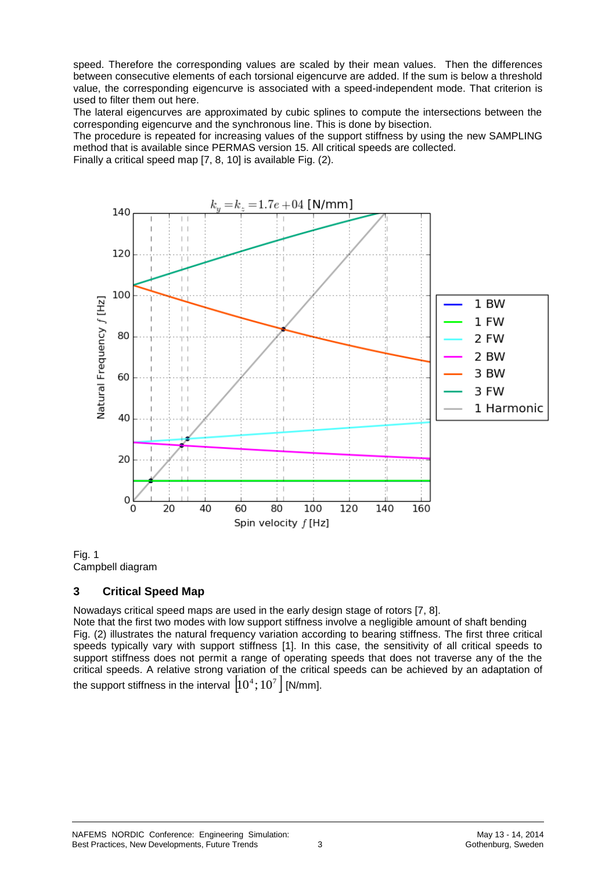speed. Therefore the corresponding values are scaled by their mean values. Then the differences between consecutive elements of each torsional eigencurve are added. If the sum is below a threshold value, the corresponding eigencurve is associated with a speed-independent mode. That criterion is used to filter them out here.

The lateral eigencurves are approximated by cubic splines to compute the intersections between the corresponding eigencurve and the synchronous line. This is done by bisection.

The procedure is repeated for increasing values of the support stiffness by using the new SAMPLING method that is available since PERMAS version 15. All critical speeds are collected.

Finally a critical speed map [7, 8, 10] is available Fig. (2).





# **3 Critical Speed Map**

Nowadays critical speed maps are used in the early design stage of rotors [7, 8].

Note that the first two modes with low support stiffness involve a negligible amount of shaft bending Fig. (2) illustrates the natural frequency variation according to bearing stiffness. The first three critical speeds typically vary with support stiffness [1]. In this case, the sensitivity of all critical speeds to support stiffness does not permit a range of operating speeds that does not traverse any of the the critical speeds. A relative strong variation of the critical speeds can be achieved by an adaptation of the support stiffness in the interval  $\left|10^4;10^7\right|$  [N/mm].